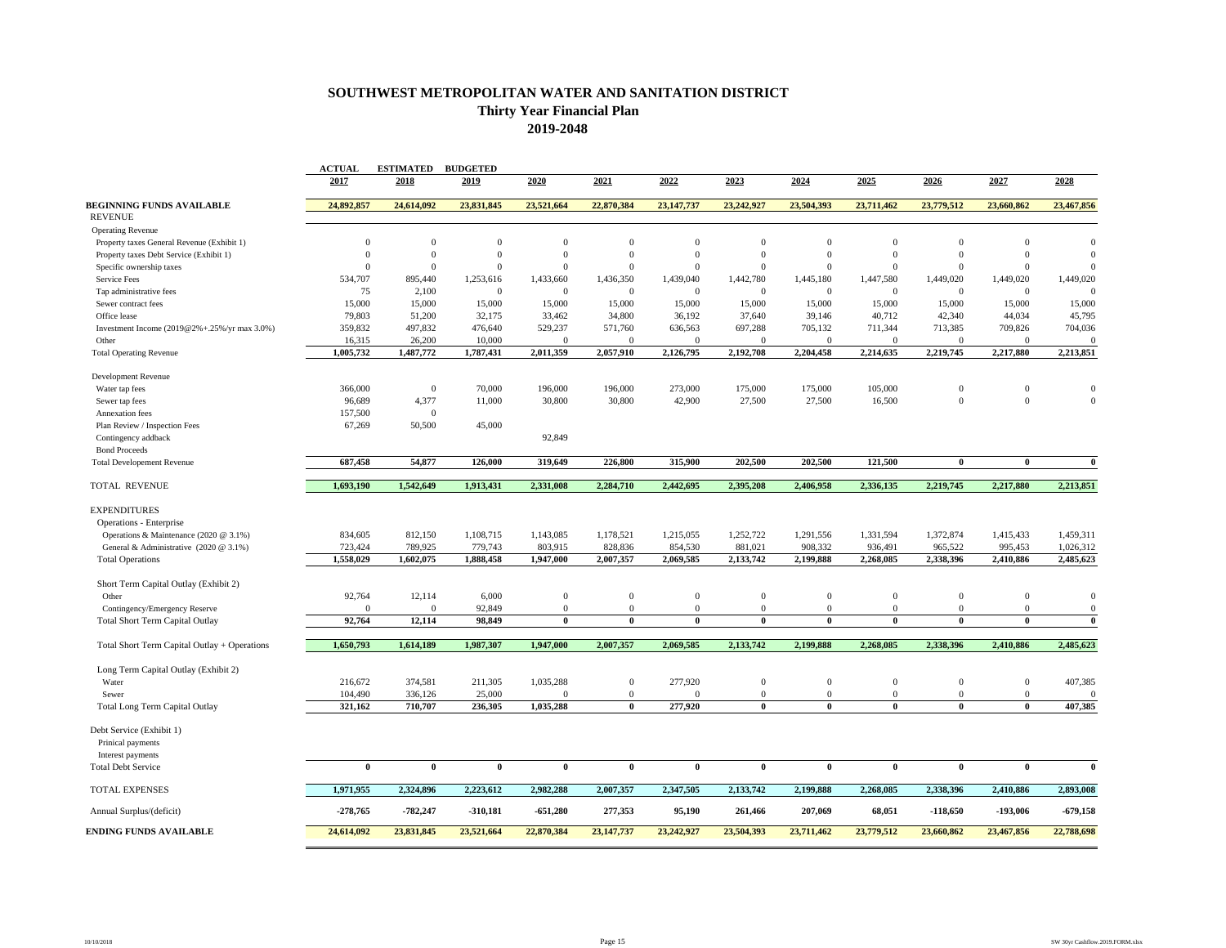## **SOUTHWEST METROPOLITAN WATER AND SANITATION DISTRICT Thirty Year Financial Plan 2019-2048**

|                                              | <b>ACTUAL</b>  | <b>ESTIMATED</b>        | <b>BUDGETED</b>  |                  |                  |                         |                         |                  |                         |                         |                         |                         |
|----------------------------------------------|----------------|-------------------------|------------------|------------------|------------------|-------------------------|-------------------------|------------------|-------------------------|-------------------------|-------------------------|-------------------------|
|                                              | 2017           | 2018                    | 2019             | 2020             | 2021             | 2022                    | 2023                    | 2024             | 2025                    | 2026                    | 2027                    | 2028                    |
| <b>BEGINNING FUNDS AVAILABLE</b>             | 24,892,857     | 24,614,092              | 23,831,845       | 23,521,664       | 22,870,384       | 23,147,737              | 23,242,927              | 23,504,393       | 23,711,462              | 23,779,512              | 23,660,862              | 23,467,856              |
| <b>REVENUE</b>                               |                |                         |                  |                  |                  |                         |                         |                  |                         |                         |                         |                         |
| <b>Operating Revenue</b>                     |                |                         |                  |                  |                  |                         |                         |                  |                         |                         |                         |                         |
| Property taxes General Revenue (Exhibit 1)   | $\overline{0}$ | $\overline{0}$          | $\boldsymbol{0}$ | $\Omega$         | $\Omega$         | $\Omega$                | $\Omega$                | $\Omega$         | $\Omega$                | $\Omega$                | $\Omega$                | $\mathbf{0}$            |
| Property taxes Debt Service (Exhibit 1)      | $\mathbf{0}$   | $\mathbf{0}$            | $\boldsymbol{0}$ | $\theta$         | $\Omega$         | $\overline{0}$          | $\mathbf{0}$            | $\boldsymbol{0}$ | $\Omega$                | $\mathbf{0}$            | $\theta$                | $\mathbf{0}$            |
| Specific ownership taxes                     | $\Omega$       | $\Omega$                | $\overline{0}$   | $\Omega$         | $\Omega$         | $\Omega$                | $\Omega$                | $\Omega$         | $\Omega$                | $\Omega$                | $\Omega$                | $\Omega$                |
| Service Fees                                 | 534,707        | 895,440                 | 1,253,616        | 1,433,660        | 1,436,350        | 1,439,040               | 1,442,780               | 1,445,180        | 1,447,580               | 1,449,020               | 1,449,020               | 1,449,020               |
| Tap administrative fees                      | 75             | 2,100                   | $\mathbf{0}$     | $\mathbf{0}$     | $\mathbf{0}$     | $\overline{0}$          | $\mathbf{0}$            | $\mathbf{0}$     | $\mathbf{0}$            | $\mathbf{0}$            | $\Omega$                | $\Omega$                |
| Sewer contract fees                          | 15,000         | 15,000                  | 15,000           | 15,000           | 15,000           | 15,000                  | 15,000                  | 15,000           | 15,000                  | 15,000                  | 15,000                  | 15,000                  |
| Office lease                                 | 79,803         | 51,200                  | 32,175           | 33,462           | 34,800           | 36,192                  | 37,640                  | 39,146           | 40,712                  | 42,340                  | 44,034                  | 45,795                  |
| Investment Income (2019@2%+.25%/yr max 3.0%) | 359,832        | 497,832                 | 476,640          | 529,237          | 571,760          | 636,563                 | 697,288                 | 705,132          | 711,344                 | 713,385                 | 709,826                 | 704,036                 |
| Other                                        | 16,315         | 26,200                  | 10,000           | $\mathbf{0}$     | $\mathbf{0}$     | $\overline{0}$          | $\mathbf{0}$            | $\mathbf{0}$     | $\mathbf{0}$            | $\mathbf{0}$            | $\Omega$                | $\boldsymbol{0}$        |
| <b>Total Operating Revenue</b>               | 1,005,732      | 1,487,772               | 1,787,431        | 2,011,359        | 2,057,910        | 2,126,795               | 2,192,708               | 2,204,458        | 2,214,635               | 2,219,745               | 2,217,880               | 2,213,851               |
| Development Revenue                          |                |                         |                  |                  |                  |                         |                         |                  |                         |                         |                         |                         |
| Water tap fees                               | 366,000        | $\mathbf{0}$            | 70,000           | 196,000          | 196,000          | 273,000                 | 175,000                 | 175,000          | 105,000                 | $\mathbf{0}$            | $\Omega$                | $\mathbf{0}$            |
| Sewer tap fees                               | 96,689         | 4,377                   | 11,000           | 30,800           | 30,800           | 42,900                  | 27,500                  | 27,500           | 16,500                  | $\mathbf{0}$            | $\Omega$                | $\Omega$                |
| Annexation fees                              | 157,500        | $\mathbf{0}$            |                  |                  |                  |                         |                         |                  |                         |                         |                         |                         |
| Plan Review / Inspection Fees                | 67,269         | 50,500                  | 45,000           |                  |                  |                         |                         |                  |                         |                         |                         |                         |
| Contingency addback                          |                |                         |                  | 92,849           |                  |                         |                         |                  |                         |                         |                         |                         |
| <b>Bond Proceeds</b>                         |                |                         |                  |                  |                  |                         |                         |                  |                         |                         |                         |                         |
| <b>Total Developement Revenue</b>            | 687.458        | 54,877                  | 126,000          | 319,649          | 226,800          | 315,900                 | 202,500                 | 202,500          | 121,500                 | $\theta$                | $\theta$                | $\bf{0}$                |
| <b>TOTAL REVENUE</b>                         | 1,693,190      | 1,542,649               | 1,913,431        | 2,331,008        | 2,284,710        | 2,442,695               | 2,395,208               | 2,406,958        | 2,336,135               | 2,219,745               | 2,217,880               | 2,213,851               |
| <b>EXPENDITURES</b>                          |                |                         |                  |                  |                  |                         |                         |                  |                         |                         |                         |                         |
|                                              |                |                         |                  |                  |                  |                         |                         |                  |                         |                         |                         |                         |
| Operations - Enterprise                      |                |                         |                  |                  |                  |                         |                         |                  |                         |                         |                         |                         |
| Operations & Maintenance (2020 @ 3.1%)       | 834,605        | 812,150                 | 1,108,715        | 1,143,085        | 1,178,521        | 1,215,055               | 1,252,722               | 1,291,556        | 1,331,594               | 1,372,874               | 1,415,433               | 1,459,311               |
| General & Administrative (2020 @ 3.1%)       | 723,424        | 789,925                 | 779,743          | 803,915          | 828,836          | 854,530                 | 881,021                 | 908,332          | 936,491                 | 965,522                 | 995,453                 | 1,026,312               |
| <b>Total Operations</b>                      | 1.558,029      | 1,602,075               | 1.888.458        | 1,947,000        | 2,007,357        | 2,069,585               | 2,133,742               | 2.199.888        | 2,268,085               | 2,338,396               | 2,410,886               | 2,485,623               |
| Short Term Capital Outlay (Exhibit 2)        |                |                         |                  |                  |                  |                         |                         |                  |                         |                         |                         |                         |
| Other                                        | 92,764         | 12,114                  | 6,000            | $\boldsymbol{0}$ | $\mathbf{0}$     | $\theta$                | $\mathbf{0}$            | $\mathbf{0}$     | $\mathbf{0}$            | $\mathbf{0}$            | $\theta$                | $\boldsymbol{0}$        |
| Contingency/Emergency Reserve                | $\Omega$       | $\Omega$                | 92,849           | $\mathbf{0}$     | $\mathbf{0}$     | $\overline{0}$          | $\theta$                | $\mathbf{0}$     | $\Omega$                | $\mathbf{0}$            | $\Omega$                | $\mathbf{0}$            |
| <b>Total Short Term Capital Outlay</b>       | 92,764         | 12,114                  | 98.849           | $\theta$         | $\theta$         | $\theta$                | $\mathbf{0}$            | 0                | $\mathbf{0}$            | $\theta$                | $\mathbf{0}$            | $\mathbf{0}$            |
| Total Short Term Capital Outlay + Operations | 1,650,793      | 1,614,189               | 1,987,307        | 1,947,000        | 2,007,357        | 2,069,585               | 2,133,742               | 2.199.888        | 2.268.085               | 2.338.396               | 2,410,886               | 2,485,623               |
| Long Term Capital Outlay (Exhibit 2)         |                |                         |                  |                  |                  |                         |                         |                  |                         |                         |                         |                         |
| Water                                        | 216,672        | 374,581                 | 211,305          | 1,035,288        | $\boldsymbol{0}$ | 277,920                 | $\mathbf{0}$            | $\mathbf{0}$     | $\Omega$                | $\mathbf{0}$            | $\bf{0}$                | 407,385                 |
| Sewer                                        | 104,490        | 336,126                 | 25,000           | $\Omega$         | $\mathbf{0}$     | $\Omega$                | $\mathbf{0}$            | $\mathbf{0}$     | $\Omega$                | $\mathbf{0}$            | $\mathbf{0}$            | $\mathbf{0}$            |
| <b>Total Long Term Capital Outlay</b>        | 321,162        | 710,707                 | 236,305          | 1,035,288        | $\bf{0}$         | 277,920                 | $\mathbf{0}$            | 0                | $\mathbf{0}$            | $\theta$                | $\mathbf{0}$            | 407,385                 |
|                                              |                |                         |                  |                  |                  |                         |                         |                  |                         |                         |                         |                         |
| Debt Service (Exhibit 1)                     |                |                         |                  |                  |                  |                         |                         |                  |                         |                         |                         |                         |
| Prinical payments                            |                |                         |                  |                  |                  |                         |                         |                  |                         |                         |                         |                         |
| Interest payments                            |                |                         |                  |                  |                  |                         |                         |                  |                         |                         |                         |                         |
| <b>Total Debt Service</b>                    | $\overline{0}$ | $\overline{\mathbf{0}}$ | $\overline{0}$   | $\overline{0}$   | $\overline{0}$   | $\overline{\mathbf{0}}$ | $\overline{\mathbf{0}}$ | $\overline{0}$   | $\overline{\mathbf{0}}$ | $\overline{\mathbf{0}}$ | $\overline{\mathbf{0}}$ | $\overline{\mathbf{0}}$ |
| <b>TOTAL EXPENSES</b>                        | 1,971,955      | 2,324,896               | 2,223,612        | 2,982,288        | 2,007,357        | 2,347,505               | 2,133,742               | 2,199,888        | 2,268,085               | 2,338,396               | 2,410,886               | 2,893,008               |
| Annual Surplus/(deficit)                     | $-278,765$     | -782,247                | $-310,181$       | $-651,280$       | 277,353          | 95,190                  | 261,466                 | 207,069          | 68,051                  | $-118,650$              | -193,006                | $-679,158$              |
| <b>ENDING FUNDS AVAILABLE</b>                | 24,614,092     | 23,831,845              | 23,521,664       | 22,870,384       | 23,147,737       | 23,242,927              | 23,504,393              | 23,711,462       | 23,779,512              | 23,660,862              | 23,467,856              | 22,788,698              |
|                                              |                |                         |                  |                  |                  |                         |                         |                  |                         |                         |                         |                         |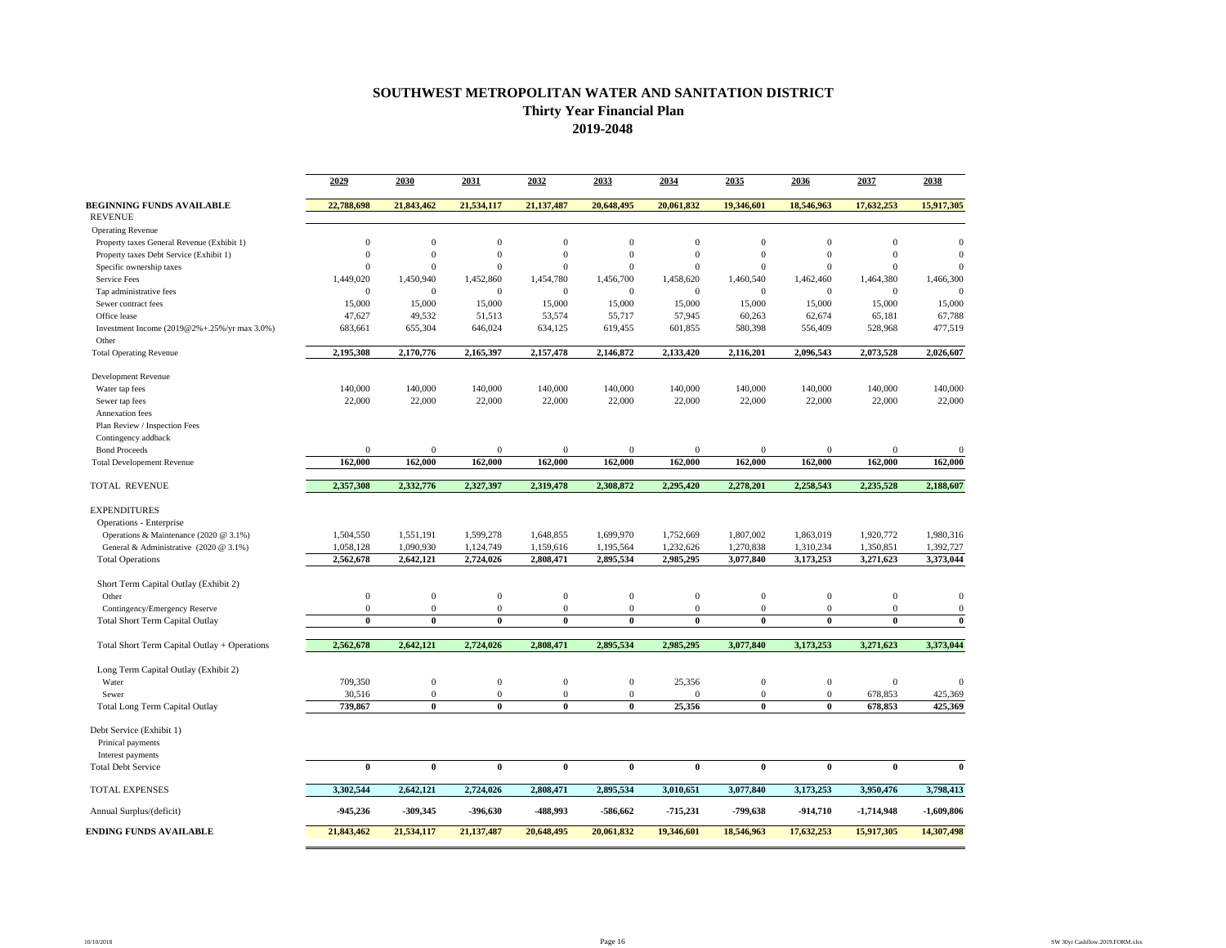## **SOUTHWEST METROPOLITAN WATER AND SANITATION DISTRICT Thirty Year Financial Plan 2019-2048**

|                                                       | 2029           | 2030             | 2031             | 2032             | 2033         | 2034           | 2035             | 2036             | 2037             | 2038           |
|-------------------------------------------------------|----------------|------------------|------------------|------------------|--------------|----------------|------------------|------------------|------------------|----------------|
| <b>BEGINNING FUNDS AVAILABLE</b>                      | 22,788,698     | 21,843,462       | 21,534,117       | 21,137,487       | 20,648,495   | 20,061,832     | 19,346,601       | 18,546,963       | 17,632,253       | 15,917,305     |
| <b>REVENUE</b>                                        |                |                  |                  |                  |              |                |                  |                  |                  |                |
| <b>Operating Revenue</b>                              |                |                  |                  |                  |              |                |                  |                  |                  |                |
| Property taxes General Revenue (Exhibit 1)            | $\theta$       | $\mathbf{0}$     | $\mathbf{0}$     | $\mathbf{0}$     | $\mathbf{0}$ | $\theta$       | $\mathbf{0}$     | $\mathbf{0}$     | $\mathbf{0}$     | $\theta$       |
| Property taxes Debt Service (Exhibit 1)               | $\theta$       | $\boldsymbol{0}$ | $\boldsymbol{0}$ | $\boldsymbol{0}$ | $\mathbf{0}$ | $\theta$       | $\mathbf{0}$     | $\boldsymbol{0}$ | $\boldsymbol{0}$ | $\Omega$       |
| Specific ownership taxes                              | $\overline{0}$ | $\mathbf{0}$     | $\boldsymbol{0}$ | $\overline{0}$   | $\mathbf{0}$ | $\overline{0}$ | $\mathbf{0}$     | $\boldsymbol{0}$ | $\boldsymbol{0}$ | $\theta$       |
| <b>Service Fees</b>                                   | 1,449,020      | 1,450,940        | 1,452,860        | 1,454,780        | 1,456,700    | 1,458,620      | 1,460,540        | 1,462,460        | 1,464,380        | 1,466,300      |
| Tap administrative fees                               | $\theta$       | $\overline{0}$   | $\mathbf{0}$     | $\mathbf{0}$     | $\mathbf{0}$ | $\mathbf{0}$   | $\overline{0}$   | $\mathbf{0}$     | $\mathbf{0}$     | $\overline{0}$ |
| Sewer contract fees                                   | 15,000         | 15,000           | 15,000           | 15,000           | 15,000       | 15,000         | 15,000           | 15,000           | 15,000           | 15,000         |
| Office lease                                          | 47,627         | 49,532           | 51,513           | 53,574           | 55,717       | 57,945         | 60,263           | 62,674           | 65,181           | 67,788         |
| Investment Income (2019@2%+.25%/yr max 3.0%)<br>Other | 683,661        | 655,304          | 646,024          | 634,125          | 619,455      | 601,855        | 580,398          | 556,409          | 528,968          | 477,519        |
| <b>Total Operating Revenue</b>                        | 2,195,308      | 2,170,776        | 2,165,397        | 2,157,478        | 2,146,872    | 2,133,420      | 2,116,201        | 2,096,543        | 2,073,528        | 2,026,607      |
| <b>Development Revenue</b>                            |                |                  |                  |                  |              |                |                  |                  |                  |                |
| Water tap fees                                        | 140,000        | 140,000          | 140,000          | 140,000          | 140,000      | 140,000        | 140,000          | 140,000          | 140,000          | 140,000        |
| Sewer tap fees                                        | 22,000         | 22,000           | 22,000           | 22,000           | 22,000       | 22,000         | 22,000           | 22,000           | 22,000           | 22,000         |
| Annexation fees                                       |                |                  |                  |                  |              |                |                  |                  |                  |                |
| Plan Review / Inspection Fees                         |                |                  |                  |                  |              |                |                  |                  |                  |                |
| Contingency addback                                   |                |                  |                  |                  |              |                |                  |                  |                  |                |
| <b>Bond Proceeds</b>                                  | $\theta$       | $\overline{0}$   | $\mathbf{0}$     | $\boldsymbol{0}$ | $\mathbf{0}$ | $\theta$       | $\mathbf{0}$     | $\mathbf{0}$     | $\mathbf{0}$     | $\mathbf{0}$   |
| <b>Total Developement Revenue</b>                     | 162,000        | 162,000          | 162,000          | 162,000          | 162,000      | 162,000        | 162,000          | 162,000          | 162,000          | 162,000        |
| TOTAL REVENUE                                         | 2,357,308      | 2,332,776        | 2,327,397        | 2,319,478        | 2,308,872    | 2,295,420      | 2,278,201        | 2,258,543        | 2,235,528        | 2,188,607      |
| <b>EXPENDITURES</b>                                   |                |                  |                  |                  |              |                |                  |                  |                  |                |
| Operations - Enterprise                               |                |                  |                  |                  |              |                |                  |                  |                  |                |
| Operations & Maintenance (2020 @ 3.1%)                | 1,504,550      | 1,551,191        | 1,599,278        | 1,648,855        | 1,699,970    | 1,752,669      | 1,807,002        | 1,863,019        | 1,920,772        | 1,980,316      |
| General & Administrative (2020 @ 3.1%)                | 1,058,128      | 1,090,930        | 1,124,749        | 1,159,616        | 1,195,564    | 1,232,626      | 1,270,838        | 1,310,234        | 1,350,851        | 1,392,727      |
| <b>Total Operations</b>                               | 2,562,678      | 2,642,121        | 2,724,026        | 2,808,471        | 2,895,534    | 2,985,295      | 3,077,840        | 3,173,253        | 3,271,623        | 3,373,044      |
| Short Term Capital Outlay (Exhibit 2)                 |                |                  |                  |                  |              |                |                  |                  |                  |                |
| Other                                                 | $\overline{0}$ | $\mathbf{0}$     | $\boldsymbol{0}$ | $\boldsymbol{0}$ | $\mathbf{0}$ | $\overline{0}$ | $\mathbf{0}$     | $\boldsymbol{0}$ | $\boldsymbol{0}$ | $\mathbf{0}$   |
| Contingency/Emergency Reserve                         | $\mathbf{0}$   | $\mathbf{0}$     | $\boldsymbol{0}$ | $\boldsymbol{0}$ | $\mathbf{0}$ | $\mathbf{0}$   | $\mathbf{0}$     | $\boldsymbol{0}$ | $\boldsymbol{0}$ | $\mathbf{0}$   |
| <b>Total Short Term Capital Outlay</b>                | $\mathbf{0}$   | $\bf{0}$         | $\bf{0}$         | $\bf{0}$         | $\bf{0}$     | $\mathbf{0}$   | $\bf{0}$         | $\mathbf{0}$     | $\bf{0}$         | $\bf{0}$       |
| Total Short Term Capital Outlay + Operations          | 2.562.678      | 2,642,121        | 2.724.026        | 2,808,471        | 2,895,534    | 2,985,295      | 3,077,840        | 3,173,253        | 3,271,623        | 3,373,044      |
| Long Term Capital Outlay (Exhibit 2)                  |                |                  |                  |                  |              |                |                  |                  |                  |                |
| Water                                                 | 709,350        | $\mathbf{0}$     | $\boldsymbol{0}$ | $\boldsymbol{0}$ | $\mathbf{0}$ | 25,356         | $\boldsymbol{0}$ | $\boldsymbol{0}$ | $\boldsymbol{0}$ | $\theta$       |
| Sewer                                                 | 30,516         | $\mathbf{0}$     | $\mathbf{0}$     | $\boldsymbol{0}$ | $\bf{0}$     | $\theta$       | $\overline{0}$   | $\mathbf{0}$     | 678,853          | 425,369        |
| <b>Total Long Term Capital Outlay</b>                 | 739,867        | $\bf{0}$         | $\mathbf{0}$     | $\bf{0}$         | $\bf{0}$     | 25,356         | $\bf{0}$         | $\bf{0}$         | 678,853          | 425,369        |
| Debt Service (Exhibit 1)<br>Prinical payments         |                |                  |                  |                  |              |                |                  |                  |                  |                |
| Interest payments                                     |                |                  |                  |                  |              |                |                  |                  |                  |                |
| <b>Total Debt Service</b>                             | $\bf{0}$       | $\bf{0}$         | $\bf{0}$         | $\bf{0}$         | $\bf{0}$     | $\bf{0}$       | $\bf{0}$         | $\bf{0}$         | $\theta$         | $\mathbf{0}$   |
| <b>TOTAL EXPENSES</b>                                 | 3,302,544      | 2,642,121        | 2,724,026        | 2,808,471        | 2,895,534    | 3,010,651      | 3,077,840        | 3,173,253        | 3,950,476        | 3,798,413      |
| Annual Surplus/(deficit)                              | $-945,236$     | -309,345         | -396,630         | -488,993         | -586,662     | $-715,231$     | -799,638         | $-914,710$       | $-1,714,948$     | $-1,609,806$   |
| <b>ENDING FUNDS AVAILABLE</b>                         | 21,843,462     | 21,534,117       | 21,137,487       | 20,648,495       | 20,061,832   | 19,346,601     | 18,546,963       | 17,632,253       | 15,917,305       | 14,307,498     |